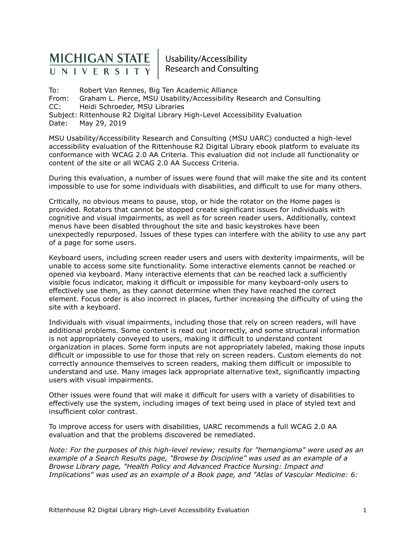# MICHIGAN STATE

Usability/Accessibility **Research and Consulting** 

To: Robert Van Rennes, Big Ten Academic Alliance From: Graham L. Pierce, MSU Usability/Accessibility Research and Consulting CC: Heidi Schroeder, MSU Libraries Subject: Rittenhouse R2 Digital Library High-Level Accessibility Evaluation Date: May 29, 2019

MSU Usability/Accessibility Research and Consulting (MSU UARC) conducted a high-level accessibility evaluation of the Rittenhouse R2 Digital Library ebook platform to evaluate its conformance with WCAG 2.0 AA Criteria. This evaluation did not include all functionality or content of the site or all WCAG 2.0 AA Success Criteria.

During this evaluation, a number of issues were found that will make the site and its content impossible to use for some individuals with disabilities, and difficult to use for many others.

Critically, no obvious means to pause, stop, or hide the rotator on the Home pages is provided. Rotators that cannot be stopped create significant issues for individuals with cognitive and visual impairments, as well as for screen reader users. Additionally, context menus have been disabled throughout the site and basic keystrokes have been unexpectedly repurposed. Issues of these types can interfere with the ability to use any part of a page for some users.

Keyboard users, including screen reader users and users with dexterity impairments, will be unable to access some site functionality. Some interactive elements cannot be reached or opened via keyboard. Many interactive elements that can be reached lack a sufficiently visible focus indicator, making it difficult or impossible for many keyboard-only users to effectively use them, as they cannot determine when they have reached the correct element. Focus order is also incorrect in places, further increasing the difficulty of using the site with a keyboard.

Individuals with visual impairments, including those that rely on screen readers, will have additional problems. Some content is read out incorrectly, and some structural information is not appropriately conveyed to users, making it difficult to understand content organization in places. Some form inputs are not appropriately labeled, making those inputs difficult or impossible to use for those that rely on screen readers. Custom elements do not correctly announce themselves to screen readers, making them difficult or impossible to understand and use. Many images lack appropriate alternative text, significantly impacting users with visual impairments.

Other issues were found that will make it difficult for users with a variety of disabilities to effectively use the system, including images of text being used in place of styled text and insufficient color contrast.

To improve access for users with disabilities, UARC recommends a full WCAG 2.0 AA evaluation and that the problems discovered be remediated.

*Note: For the purposes of this high-level review; results for "hemangioma" were used as an example of a Search Results page, "Browse by Discipline" was used as an example of a Browse Library page, "Health Policy and Advanced Practice Nursing: Impact and Implications" was used as an example of a Book page, and "Atlas of Vascular Medicine: 6:*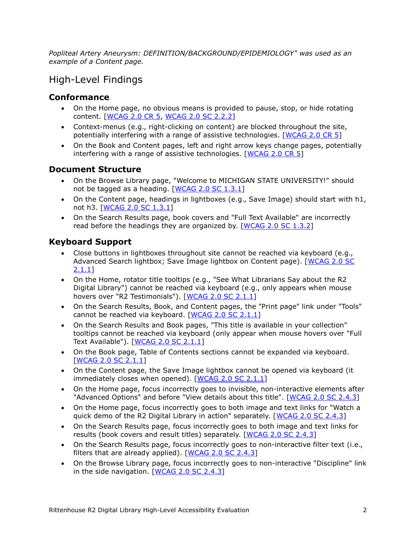*Popliteal Artery Aneurysm: DEFINITION/BACKGROUND/EPIDEMIOLOGY" was used as an example of a Content page.*

# High-Level Findings

# **Conformance**

- On the Home page, no obvious means is provided to pause, stop, or hide rotating content. [\[WCAG 2.0 CR 5,](http://www.w3.org/TR/UNDERSTANDING-WCAG20/conformance.html#uc-conformance-requirements-head) [WCAG 2.0 SC 2.2.2\]](http://www.w3.org/TR/UNDERSTANDING-WCAG20/time-limits-pause.html)
- Context-menus (e.g., right-clicking on content) are blocked throughout the site, potentially interfering with a range of assistive technologies. [[WCAG 2.0 CR 5](https://www.w3.org/TR/UNDERSTANDING-WCAG20/conformance.html#uc-conf-req5-head)]
- On the Book and Content pages, left and right arrow keys change pages, potentially interfering with a range of assistive technologies.  $[WCAG 2.0 CR 5]$  $[WCAG 2.0 CR 5]$  $[WCAG 2.0 CR 5]$

## **Document Structure**

- On the Browse Library page, "Welcome to MICHIGAN STATE UNIVERSITY!" should not be tagged as a heading.  $[WCAG 2.0 SC 1.3.1]$  $[WCAG 2.0 SC 1.3.1]$  $[WCAG 2.0 SC 1.3.1]$
- On the Content page, headings in lightboxes (e.g., Save Image) should start with h1, not h3. [[WCAG 2.0 SC 1.3.1](http://www.w3.org/TR/UNDERSTANDING-WCAG20/content-structure-separation-programmatic.html)]
- On the Search Results page, book covers and "Full Text Available" are incorrectly read before the headings they are organized by. [[WCAG 2.0 SC 1.3.2](http://www.w3.org/TR/UNDERSTANDING-WCAG20/content-structure-separation-sequence.html)]

# **Keyboard Support**

- Close buttons in lightboxes throughout site cannot be reached via keyboard (e.g., Advanced Search lightbox; Save Image lightbox on Content page). [[WCAG 2.0 SC](http://www.w3.org/TR/UNDERSTANDING-WCAG20/keyboard-operation-keyboard-operable.html)  [2.1.1](http://www.w3.org/TR/UNDERSTANDING-WCAG20/keyboard-operation-keyboard-operable.html)]
- On the Home, rotator title tooltips (e.g., "See What Librarians Say about the R2 Digital Library") cannot be reached via keyboard (e.g., only appears when mouse hovers over "R2 Testimonials"). [[WCAG 2.0 SC 2.1.1](http://www.w3.org/TR/UNDERSTANDING-WCAG20/keyboard-operation-keyboard-operable.html)]
- On the Search Results, Book, and Content pages, the "Print page" link under "Tools" cannot be reached via keyboard. [[WCAG 2.0 SC 2.1.1](http://www.w3.org/TR/UNDERSTANDING-WCAG20/keyboard-operation-keyboard-operable.html)]
- On the Search Results and Book pages, "This title is available in your collection" tooltips cannot be reached via keyboard (only appear when mouse hovers over "Full Text Available"). [[WCAG 2.0 SC 2.1.1](http://www.w3.org/TR/UNDERSTANDING-WCAG20/keyboard-operation-keyboard-operable.html)]
- On the Book page, Table of Contents sections cannot be expanded via keyboard. [[WCAG 2.0 SC 2.1.1](http://www.w3.org/TR/UNDERSTANDING-WCAG20/keyboard-operation-keyboard-operable.html)]
- On the Content page, the Save Image lightbox cannot be opened via keyboard (it immediately closes when opened). [[WCAG 2.0 SC 2.1.1](http://www.w3.org/TR/UNDERSTANDING-WCAG20/keyboard-operation-keyboard-operable.html)]
- On the Home page, focus incorrectly goes to invisible, non-interactive elements after "Advanced Options" and before "View details about this title". [[WCAG 2.0 SC 2.4.3](http://www.w3.org/TR/UNDERSTANDING-WCAG20/navigation-mechanisms-focus-order.html)]
- On the Home page, focus incorrectly goes to both image and text links for "Watch a quick demo of the R2 Digital Library in action" separately. [[WCAG 2.0 SC 2.4.3](http://www.w3.org/TR/UNDERSTANDING-WCAG20/navigation-mechanisms-focus-order.html)]
- On the Search Results page, focus incorrectly goes to both image and text links for results (book covers and result titles) separately. [[WCAG 2.0 SC 2.4.3](http://www.w3.org/TR/UNDERSTANDING-WCAG20/navigation-mechanisms-focus-order.html)]
- On the Search Results page, focus incorrectly goes to non-interactive filter text (i.e., filters that are already applied). [[WCAG 2.0 SC 2.4.3](http://www.w3.org/TR/UNDERSTANDING-WCAG20/navigation-mechanisms-focus-order.html)]
- On the Browse Library page, focus incorrectly goes to non-interactive "Discipline" link in the side navigation. [[WCAG 2.0 SC 2.4.3](http://www.w3.org/TR/UNDERSTANDING-WCAG20/navigation-mechanisms-focus-order.html)]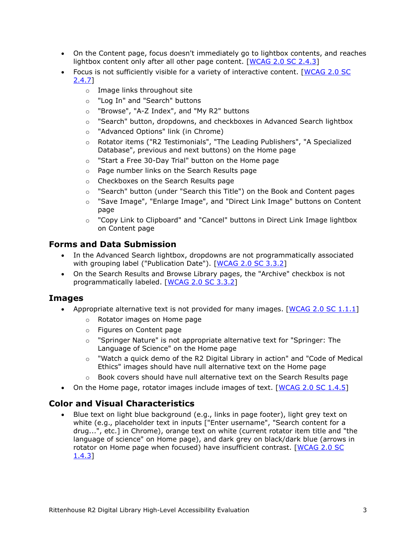- On the Content page, focus doesn't immediately go to lightbox contents, and reaches lightbox content only after all other page content. [[WCAG 2.0 SC 2.4.3](http://www.w3.org/TR/UNDERSTANDING-WCAG20/navigation-mechanisms-focus-order.html)]
- Focus is not sufficiently visible for a variety of interactive content. [\[WCAG 2.0 SC](http://www.w3.org/TR/UNDERSTANDING-WCAG20/navigation-mechanisms-focus-visible.html)  [2.4.7\]](http://www.w3.org/TR/UNDERSTANDING-WCAG20/navigation-mechanisms-focus-visible.html)
	- o Image links throughout site
	- o "Log In" and "Search" buttons
	- o "Browse", "A-Z Index", and "My R2" buttons
	- $\circ$  "Search" button, dropdowns, and checkboxes in Advanced Search lightbox
	- o "Advanced Options" link (in Chrome)
	- o Rotator items ("R2 Testimonials", "The Leading Publishers", "A Specialized Database", previous and next buttons) on the Home page
	- o "Start a Free 30-Day Trial" button on the Home page
	- o Page number links on the Search Results page
	- o Checkboxes on the Search Results page
	- o "Search" button (under "Search this Title") on the Book and Content pages
	- o "Save Image", "Enlarge Image", and "Direct Link Image" buttons on Content page
	- o "Copy Link to Clipboard" and "Cancel" buttons in Direct Link Image lightbox on Content page

### **Forms and Data Submission**

- In the Advanced Search lightbox, dropdowns are not programmatically associated with grouping label ("Publication Date"). [\[WCAG 2.0 SC 3.3.2\]](http://www.w3.org/TR/UNDERSTANDING-WCAG20/minimize-error-cues.html)
- On the Search Results and Browse Library pages, the "Archive" checkbox is not programmatically labeled. [\[WCAG 2.0 SC 3.3.2\]](http://www.w3.org/TR/UNDERSTANDING-WCAG20/minimize-error-cues.html)

#### **Images**

- Appropriate alternative text is not provided for many images.  $[WCAG 2.0 SC 1.1.1]$ 
	- o Rotator images on Home page
	- o Figures on Content page
	- o "Springer Nature" is not appropriate alternative text for "Springer: The Language of Science" on the Home page
	- o "Watch a quick demo of the R2 Digital Library in action" and "Code of Medical Ethics" images should have null alternative text on the Home page
	- $\circ$  Book covers should have null alternative text on the Search Results page
- On the Home page, rotator images include images of text. [\[WCAG 2.0 SC 1.4.5\]](http://www.w3.org/TR/UNDERSTANDING-WCAG20/visual-audio-contrast-text-presentation.html)

### **Color and Visual Characteristics**

 Blue text on light blue background (e.g., links in page footer), light grey text on white (e.g., placeholder text in inputs ["Enter username", "Search content for a drug...", etc.] in Chrome), orange text on white (current rotator item title and "the language of science" on Home page), and dark grey on black/dark blue (arrows in rotator on Home page when focused) have insufficient contrast. [WCAG 2.0 SC [1.4.3\]](http://www.w3.org/TR/UNDERSTANDING-WCAG20/visual-audio-contrast-contrast.html)